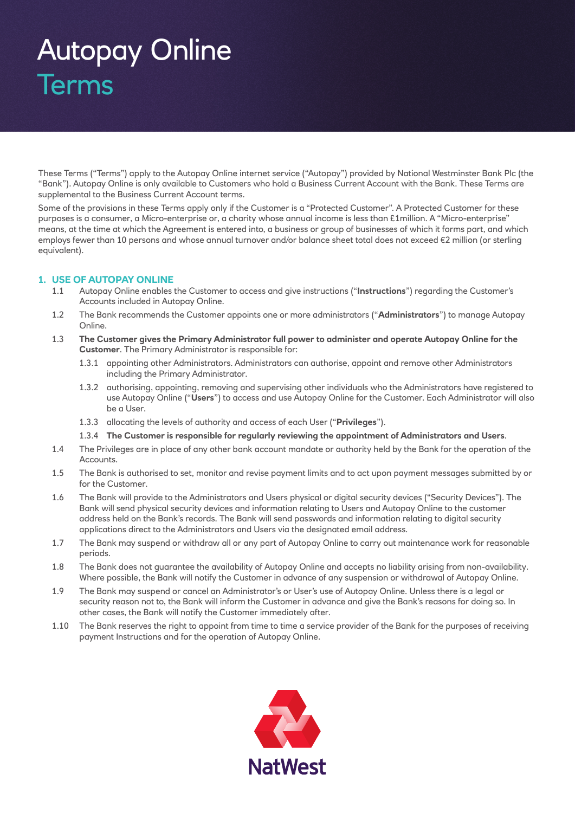# Autopay Online Terms

These Terms ("Terms") apply to the Autopay Online internet service ("Autopay") provided by National Westminster Bank Plc (the "Bank"). Autopay Online is only available to Customers who hold a Business Current Account with the Bank. These Terms are supplemental to the Business Current Account terms.

Some of the provisions in these Terms apply only if the Customer is a "Protected Customer". A Protected Customer for these purposes is a consumer, a Micro-enterprise or, a charity whose annual income is less than £1million. A "Micro-enterprise" means, at the time at which the Agreement is entered into, a business or group of businesses of which it forms part, and which employs fewer than 10 persons and whose annual turnover and/or balance sheet total does not exceed €2 million (or sterling equivalent).

# **1. USE OF AUTOPAY ONLINE**

- 1.1 Autopay Online enables the Customer to access and give instructions ("**Instructions**") regarding the Customer's Accounts included in Autopay Online.
- 1.2 The Bank recommends the Customer appoints one or more administrators ("**Administrators**") to manage Autopay Online.
- 1.3 **The Customer gives the Primary Administrator full power to administer and operate Autopay Online for the Customer**. The Primary Administrator is responsible for:
	- 1.3.1 appointing other Administrators. Administrators can authorise, appoint and remove other Administrators including the Primary Administrator.
	- 1.3.2 authorising, appointing, removing and supervising other individuals who the Administrators have registered to use Autopay Online ("**Users**") to access and use Autopay Online for the Customer. Each Administrator will also be a User.
	- 1.3.3 allocating the levels of authority and access of each User ("**Privileges**").
	- 1.3.4 **The Customer is responsible for regularly reviewing the appointment of Administrators and Users**.
- 1.4 The Privileges are in place of any other bank account mandate or authority held by the Bank for the operation of the Accounts.
- 1.5 The Bank is authorised to set, monitor and revise payment limits and to act upon payment messages submitted by or for the Customer.
- 1.6 The Bank will provide to the Administrators and Users physical or digital security devices ("Security Devices"). The Bank will send physical security devices and information relating to Users and Autopay Online to the customer address held on the Bank's records. The Bank will send passwords and information relating to digital security applications direct to the Administrators and Users via the designated email address.
- 1.7 The Bank may suspend or withdraw all or any part of Autopay Online to carry out maintenance work for reasonable periods.
- 1.8 The Bank does not guarantee the availability of Autopay Online and accepts no liability arising from non-availability. Where possible, the Bank will notify the Customer in advance of any suspension or withdrawal of Autopay Online.
- 1.9 The Bank may suspend or cancel an Administrator's or User's use of Autopay Online. Unless there is a legal or security reason not to, the Bank will inform the Customer in advance and give the Bank's reasons for doing so. In other cases, the Bank will notify the Customer immediately after.
- 1.10 The Bank reserves the right to appoint from time to time a service provider of the Bank for the purposes of receiving payment Instructions and for the operation of Autopay Online.

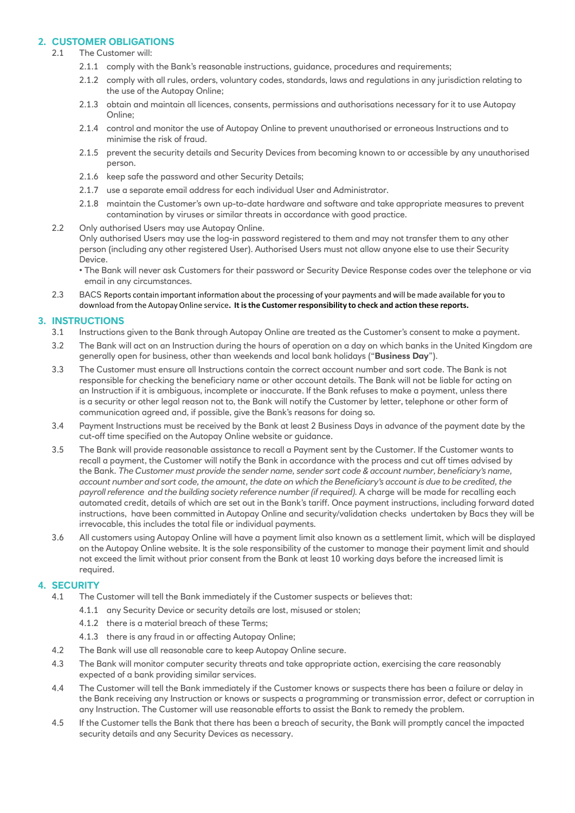# **2. CUSTOMER OBLIGATIONS**

### 2.1 The Customer will:

- 2.1.1 comply with the Bank's reasonable instructions, guidance, procedures and requirements;
- 2.1.2 comply with all rules, orders, voluntary codes, standards, laws and regulations in any jurisdiction relating to the use of the Autopay Online;
- 2.1.3 obtain and maintain all licences, consents, permissions and authorisations necessary for it to use Autopay Online;
- 2.1.4 control and monitor the use of Autopay Online to prevent unauthorised or erroneous Instructions and to minimise the risk of fraud.
- 2.1.5 prevent the security details and Security Devices from becoming known to or accessible by any unauthorised person.
- 2.1.6 keep safe the password and other Security Details:
- 2.1.7 use a separate email address for each individual User and Administrator.
- 2.1.8 maintain the Customer's own up-to-date hardware and software and take appropriate measures to prevent contamination by viruses or similar threats in accordance with good practice.
- 2.2 Only authorised Users may use Autopay Online. Only authorised Users may use the log-in password registered to them and may not transfer them to any other person (including any other registered User). Authorised Users must not allow anyone else to use their Security Device.

• The Bank will never ask Customers for their password or Security Device Response codes over the telephone or via email in any circumstances.

#### 2.3 BACS Reports contain important information about the processing of your payments and will be made available for you to download from the Autopay Online service**. It isthe Customer responsibility to check and action these reports.**

# **3. INSTRUCTIONS**

- 3.1 Instructions given to the Bank through Autopay Online are treated as the Customer's consent to make a payment.
- 3.2 The Bank will act on an Instruction during the hours of operation on a day on which banks in the United Kingdom are generally open for business, other than weekends and local bank holidays ("**Business Day**").
- 3.3 The Customer must ensure all Instructions contain the correct account number and sort code. The Bank is not responsible for checking the beneficiary name or other account details. The Bank will not be liable for acting on an Instruction if it is ambiguous, incomplete or inaccurate. If the Bank refuses to make a payment, unless there is a security or other legal reason not to, the Bank will notify the Customer by letter, telephone or other form of communication agreed and, if possible, give the Bank's reasons for doing so.
- 3.4 Payment Instructions must be received by the Bank at least 2 Business Days in advance of the payment date by the cut-off time specified on the Autopay Online website or guidance.
- 3.5 The Bank will provide reasonable assistance to recall a Payment sent by the Customer. If the Customer wants to recall a payment, the Customer will notify the Bank in accordance with the process and cut off times advised by the Bank. *The Customer must provide the sender name, sender sort code & account number, beneficiary's name, account number and sort code, the amount, the date on which the Beneficiary's account is due to be credited, the payroll reference and the building society reference number (if required).* A charge will be made for recalling each automated credit, details of which are set out in the Bank's tariff. Once payment instructions, including forward dated instructions, have been committed in Autopay Online and security/validation checks undertaken by Bacs they will be irrevocable, this includes the total file or individual payments.
- 3.6 All customers using Autopay Online will have a payment limit also known as a settlement limit, which will be displayed on the Autopay Online website. It is the sole responsibility of the customer to manage their payment limit and should not exceed the limit without prior consent from the Bank at least 10 working days before the increased limit is required.

# **4. SECURITY**

- 4.1 The Customer will tell the Bank immediately if the Customer suspects or believes that:
	- 4.1.1 any Security Device or security details are lost, misused or stolen;
	- 4.1.2 there is a material breach of these Terms;
	- 4.1.3 there is any fraud in or affecting Autopay Online;
- 4.2 The Bank will use all reasonable care to keep Autopay Online secure.
- 4.3 The Bank will monitor computer security threats and take appropriate action, exercising the care reasonably expected of a bank providing similar services.
- 4.4 The Customer will tell the Bank immediately if the Customer knows or suspects there has been a failure or delay in the Bank receiving any Instruction or knows or suspects a programming or transmission error, defect or corruption in any Instruction. The Customer will use reasonable efforts to assist the Bank to remedy the problem.
- 4.5 If the Customer tells the Bank that there has been a breach of security, the Bank will promptly cancel the impacted security details and any Security Devices as necessary.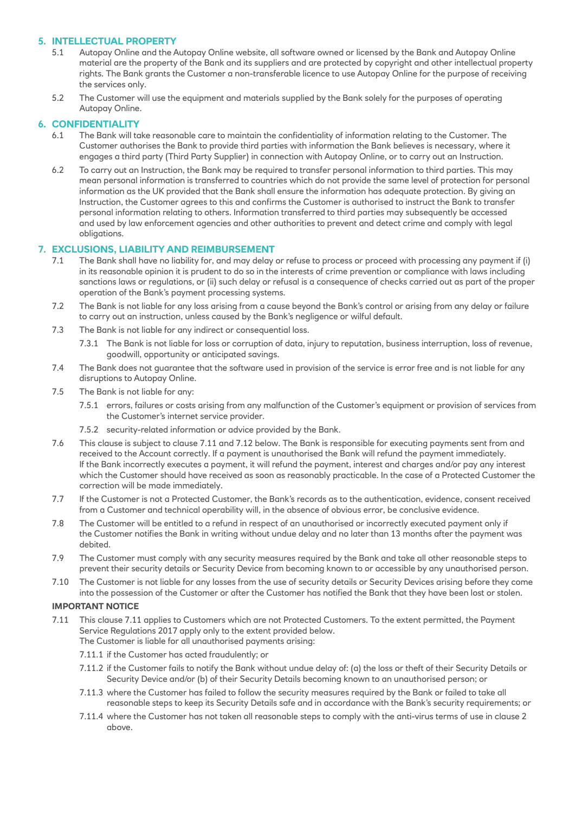# **5. INTELLECTUAL PROPERTY**

- 5.1 Autopay Online and the Autopay Online website, all software owned or licensed by the Bank and Autopay Online material are the property of the Bank and its suppliers and are protected by copyright and other intellectual property rights. The Bank grants the Customer a non-transferable licence to use Autopay Online for the purpose of receiving the services only.
- 5.2 The Customer will use the equipment and materials supplied by the Bank solely for the purposes of operating Autopay Online.

# **6. CONFIDENTIALITY**

- The Bank will take reasonable care to maintain the confidentiality of information relating to the Customer. The Customer authorises the Bank to provide third parties with information the Bank believes is necessary, where it engages a third party (Third Party Supplier) in connection with Autopay Online, or to carry out an Instruction.
- 6.2 To carry out an Instruction, the Bank may be required to transfer personal information to third parties. This may mean personal information is transferred to countries which do not provide the same level of protection for personal information as the UK provided that the Bank shall ensure the information has adequate protection. By giving an Instruction, the Customer agrees to this and confirms the Customer is authorised to instruct the Bank to transfer personal information relating to others. Information transferred to third parties may subsequently be accessed and used by law enforcement agencies and other authorities to prevent and detect crime and comply with legal obligations.

# **7. EXCLUSIONS, LIABILITY AND REIMBURSEMENT**

- 7.1 The Bank shall have no liability for, and may delay or refuse to process or proceed with processing any payment if (i) in its reasonable opinion it is prudent to do so in the interests of crime prevention or compliance with laws including sanctions laws or regulations, or (ii) such delay or refusal is a consequence of checks carried out as part of the proper operation of the Bank's payment processing systems.
- 7.2 The Bank is not liable for any loss arising from a cause beyond the Bank's control or arising from any delay or failure to carry out an instruction, unless caused by the Bank's negligence or wilful default.
- 7.3 The Bank is not liable for any indirect or consequential loss.
	- 7.3.1 The Bank is not liable for loss or corruption of data, injury to reputation, business interruption, loss of revenue, goodwill, opportunity or anticipated savings.
- 7.4 The Bank does not guarantee that the software used in provision of the service is error free and is not liable for any disruptions to Autopay Online.
- 7.5 The Bank is not liable for any:
	- 7.5.1 errors, failures or costs arising from any malfunction of the Customer's equipment or provision of services from the Customer's internet service provider.
	- 7.5.2 security-related information or advice provided by the Bank.
- 7.6 This clause is subject to clause 7.11 and 7.12 below. The Bank is responsible for executing payments sent from and received to the Account correctly. If a payment is unauthorised the Bank will refund the payment immediately. If the Bank incorrectly executes a payment, it will refund the payment, interest and charges and/or pay any interest which the Customer should have received as soon as reasonably practicable. In the case of a Protected Customer the correction will be made immediately.
- 7.7 If the Customer is not a Protected Customer, the Bank's records as to the authentication, evidence, consent received from a Customer and technical operability will, in the absence of obvious error, be conclusive evidence.
- 7.8 The Customer will be entitled to a refund in respect of an unauthorised or incorrectly executed payment only if the Customer notifies the Bank in writing without undue delay and no later than 13 months after the payment was debited.
- 7.9 The Customer must comply with any security measures required by the Bank and take all other reasonable steps to prevent their security details or Security Device from becoming known to or accessible by any unauthorised person.
- 7.10 The Customer is not liable for any losses from the use of security details or Security Devices arising before they come into the possession of the Customer or after the Customer has notified the Bank that they have been lost or stolen.

# **IMPORTANT NOTICE**

- 7.11 This clause 7.11 applies to Customers which are not Protected Customers. To the extent permitted, the Payment Service Regulations 2017 apply only to the extent provided below.
	- The Customer is liable for all unauthorised payments arising:
		- 7.11.1 if the Customer has acted fraudulently; or
		- 7.11.2 if the Customer fails to notify the Bank without undue delay of: (a) the loss or theft of their Security Details or Security Device and/or (b) of their Security Details becoming known to an unauthorised person; or
		- 7.11.3 where the Customer has failed to follow the security measures required by the Bank or failed to take all reasonable steps to keep its Security Details safe and in accordance with the Bank's security requirements; or
		- 7.11.4 where the Customer has not taken all reasonable steps to comply with the anti-virus terms of use in clause 2 above.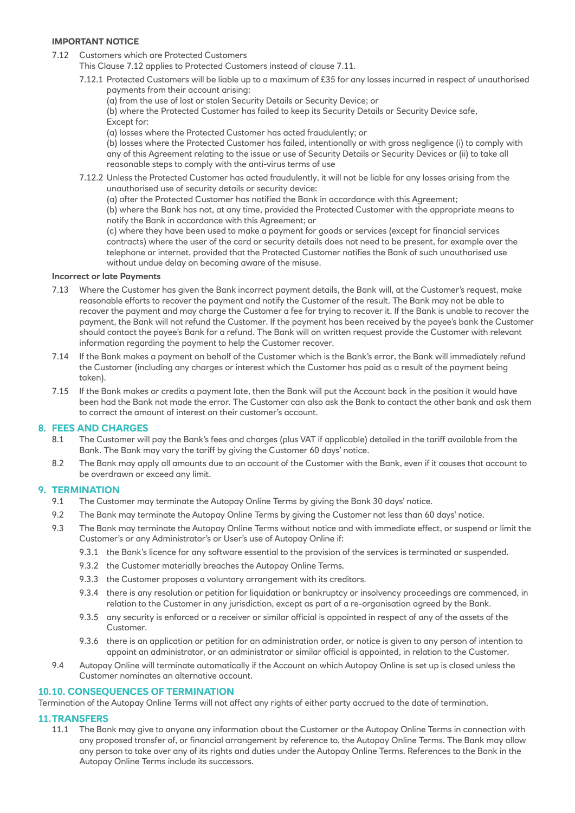#### **IMPORTANT NOTICE**

- 7.12 Customers which are Protected Customers
	- This Clause 7.12 applies to Protected Customers instead of clause 7.11.
		- 7.12.1 Protected Customers will be liable up to a maximum of £35 for any losses incurred in respect of unauthorised payments from their account arising:
			- (a) from the use of lost or stolen Security Details or Security Device; or

(b) where the Protected Customer has failed to keep its Security Details or Security Device safe, Except for:

(a) losses where the Protected Customer has acted fraudulently; or

(b) losses where the Protected Customer has failed, intentionally or with gross negligence (i) to comply with any of this Agreement relating to the issue or use of Security Details or Security Devices or (ii) to take all reasonable steps to comply with the anti-virus terms of use

- 7.12.2 Unless the Protected Customer has acted fraudulently, it will not be liable for any losses arising from the unauthorised use of security details or security device:
	- (a) after the Protected Customer has notified the Bank in accordance with this Agreement;

(b) where the Bank has not, at any time, provided the Protected Customer with the appropriate means to notify the Bank in accordance with this Agreement; or

(c) where they have been used to make a payment for goods or services (except for financial services contracts) where the user of the card or security details does not need to be present, for example over the telephone or internet, provided that the Protected Customer notifies the Bank of such unauthorised use without undue delay on becoming aware of the misuse.

#### **Incorrect or late Payments**

- 7.13 Where the Customer has given the Bank incorrect payment details, the Bank will, at the Customer's request, make reasonable efforts to recover the payment and notify the Customer of the result. The Bank may not be able to recover the payment and may charge the Customer a fee for trying to recover it. If the Bank is unable to recover the payment, the Bank will not refund the Customer. If the payment has been received by the payee's bank the Customer should contact the payee's Bank for a refund. The Bank will on written request provide the Customer with relevant information regarding the payment to help the Customer recover.
- 7.14 If the Bank makes a payment on behalf of the Customer which is the Bank's error, the Bank will immediately refund the Customer (including any charges or interest which the Customer has paid as a result of the payment being taken).
- 7.15 If the Bank makes or credits a payment late, then the Bank will put the Account back in the position it would have been had the Bank not made the error. The Customer can also ask the Bank to contact the other bank and ask them to correct the amount of interest on their customer's account.

#### **8. FEES AND CHARGES**

- 8.1 The Customer will pay the Bank's fees and charges (plus VAT if applicable) detailed in the tariff available from the Bank. The Bank may vary the tariff by giving the Customer 60 days' notice.
- 8.2 The Bank may apply all amounts due to an account of the Customer with the Bank, even if it causes that account to be overdrawn or exceed any limit.

#### **9. TERMINATION**

- 9.1 The Customer may terminate the Autopay Online Terms by giving the Bank 30 days' notice.
- 9.2 The Bank may terminate the Autopay Online Terms by giving the Customer not less than 60 days' notice.
- 9.3 The Bank may terminate the Autopay Online Terms without notice and with immediate effect, or suspend or limit the Customer's or any Administrator's or User's use of Autopay Online if:
	- 9.3.1 the Bank's licence for any software essential to the provision of the services is terminated or suspended.
	- 9.3.2 the Customer materially breaches the Autopay Online Terms.
	- 9.3.3 the Customer proposes a voluntary arrangement with its creditors.
	- 9.3.4 there is any resolution or petition for liquidation or bankruptcy or insolvency proceedings are commenced, in relation to the Customer in any jurisdiction, except as part of a re-organisation agreed by the Bank.
	- 9.3.5 any security is enforced or a receiver or similar official is appointed in respect of any of the assets of the Customer.
	- 9.3.6 there is an application or petition for an administration order, or notice is given to any person of intention to appoint an administrator, or an administrator or similar official is appointed, in relation to the Customer.
- 9.4 Autopay Online will terminate automatically if the Account on which Autopay Online is set up is closed unless the Customer nominates an alternative account.

#### **10.10. CONSEQUENCES OF TERMINATION**

Termination of the Autopay Online Terms will not affect any rights of either party accrued to the date of termination.

#### **11.TRANSFERS**

11.1 The Bank may give to anyone any information about the Customer or the Autopay Online Terms in connection with any proposed transfer of, or financial arrangement by reference to, the Autopay Online Terms. The Bank may allow any person to take over any of its rights and duties under the Autopay Online Terms. References to the Bank in the Autopay Online Terms include its successors.